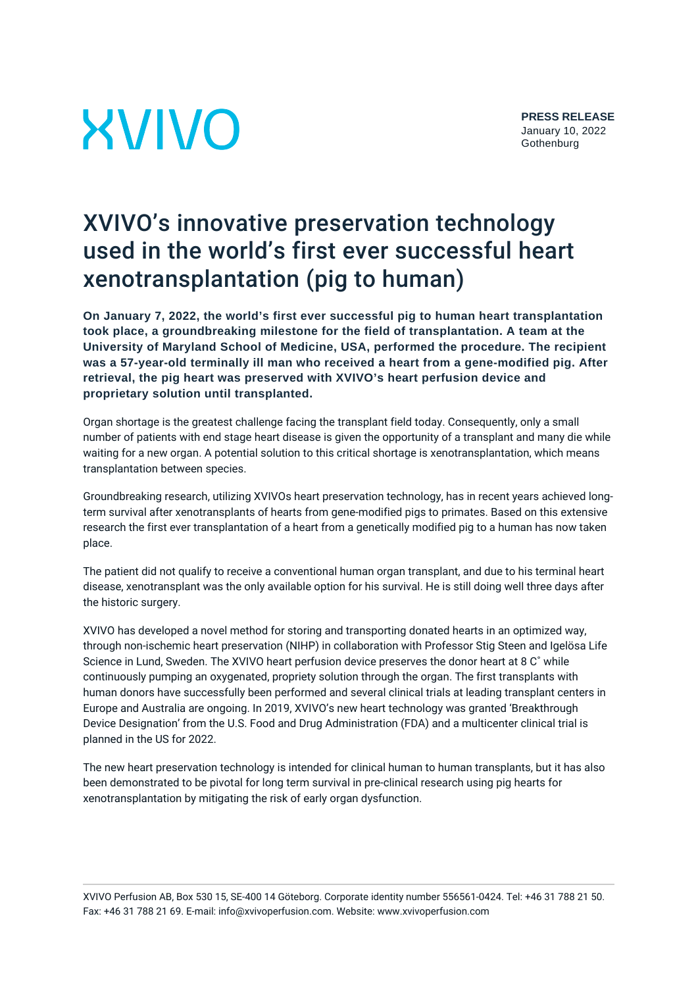# **XVIVO**

## XVIVO's innovative preservation technology used in the world's first ever successful heart xenotransplantation (pig to human)

**On January 7, 2022, the world's first ever successful pig to human heart transplantation took place, a groundbreaking milestone for the field of transplantation. A team at the University of Maryland School of Medicine, USA, performed the procedure. The recipient was a 57-year-old terminally ill man who received a heart from a gene-modified pig. After retrieval, the pig heart was preserved with XVIVO's heart perfusion device and proprietary solution until transplanted.**

Organ shortage is the greatest challenge facing the transplant field today. Consequently, only a small number of patients with end stage heart disease is given the opportunity of a transplant and many die while waiting for a new organ. A potential solution to this critical shortage is xenotransplantation, which means transplantation between species.

Groundbreaking research, utilizing XVIVOs heart preservation technology, has in recent years achieved longterm survival after xenotransplants of hearts from gene-modified pigs to primates. Based on this extensive research the first ever transplantation of a heart from a genetically modified pig to a human has now taken place.

The patient did not qualify to receive a conventional human organ transplant, and due to his terminal heart disease, xenotransplant was the only available option for his survival. He is still doing well three days after the historic surgery.

XVIVO has developed a novel method for storing and transporting donated hearts in an optimized way, through non-ischemic heart preservation (NIHP) in collaboration with Professor Stig Steen and Igelösa Life Science in Lund, Sweden. The XVIVO heart perfusion device preserves the donor heart at 8 C˚ while continuously pumping an oxygenated, propriety solution through the organ. The first transplants with human donors have successfully been performed and several clinical trials at leading transplant centers in Europe and Australia are ongoing. In 2019, XVIVO's new heart technology was granted 'Breakthrough Device Designation' from the U.S. Food and Drug Administration (FDA) and a multicenter clinical trial is planned in the US for 2022.

The new heart preservation technology is intended for clinical human to human transplants, but it has also been demonstrated to be pivotal for long term survival in pre-clinical research using pig hearts for xenotransplantation by mitigating the risk of early organ dysfunction.

XVIVO Perfusion AB, Box 530 15, SE-400 14 Göteborg. Corporate identity number 556561-0424. Tel: +46 31 788 21 50. Fax: +46 31 788 21 69. E-mail: info@xvivoperfusion.com. Website: www.xvivoperfusion.com